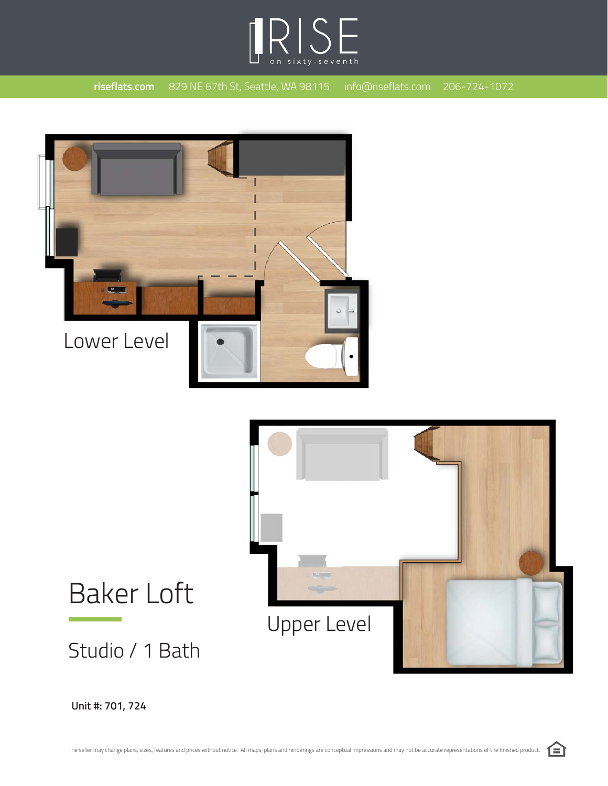





## Baker Loft

Studio / 1 Bath

**Unit #: 701, 724**

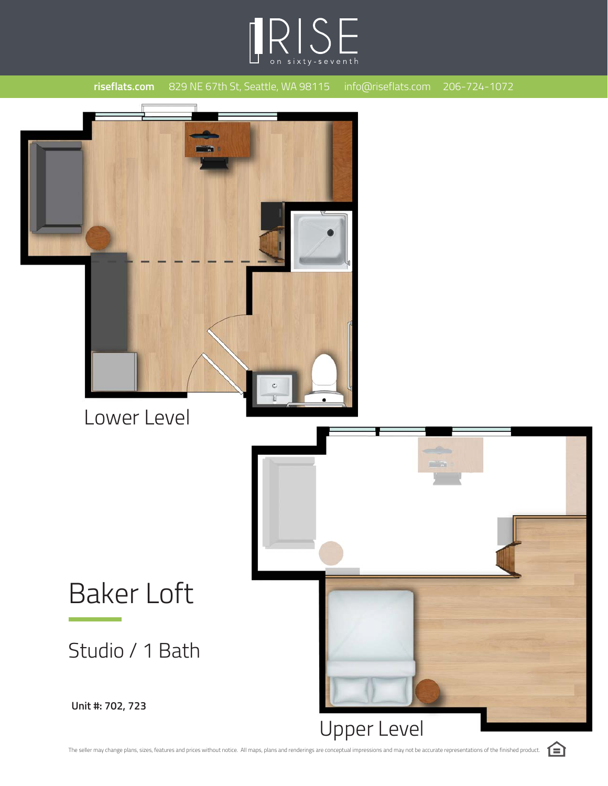



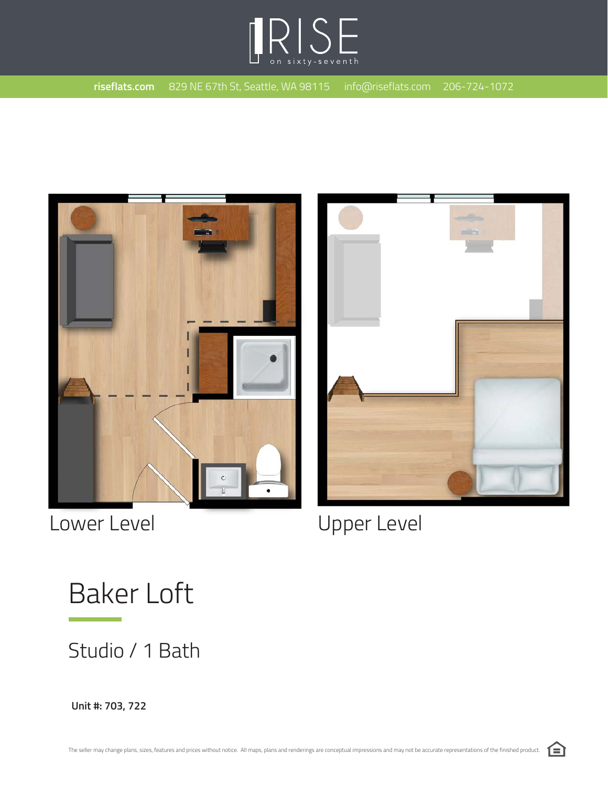





Lower Level **Lower Level** 

Baker Loft

Studio / 1 Bath

**Unit #: 703, 722**

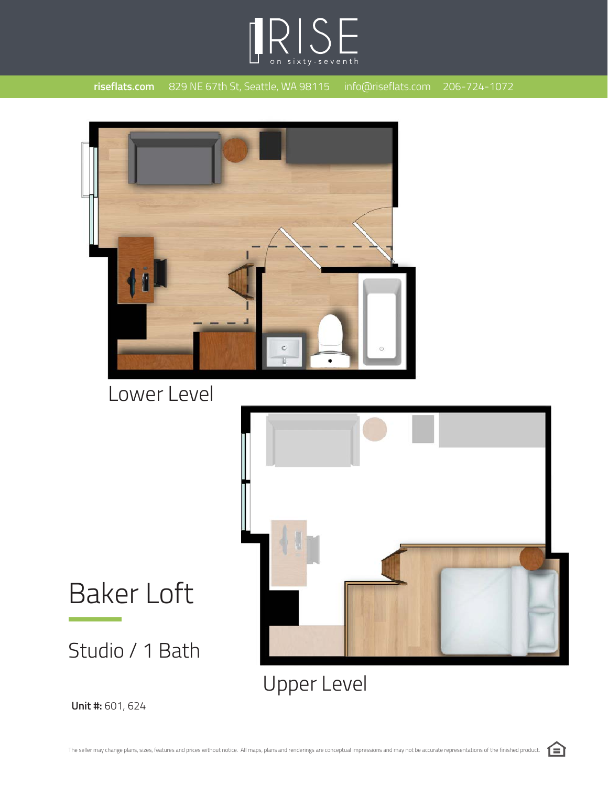



Lower Level





**Unit #:** 601, 624

Studio / 1 Bath

Baker Loft

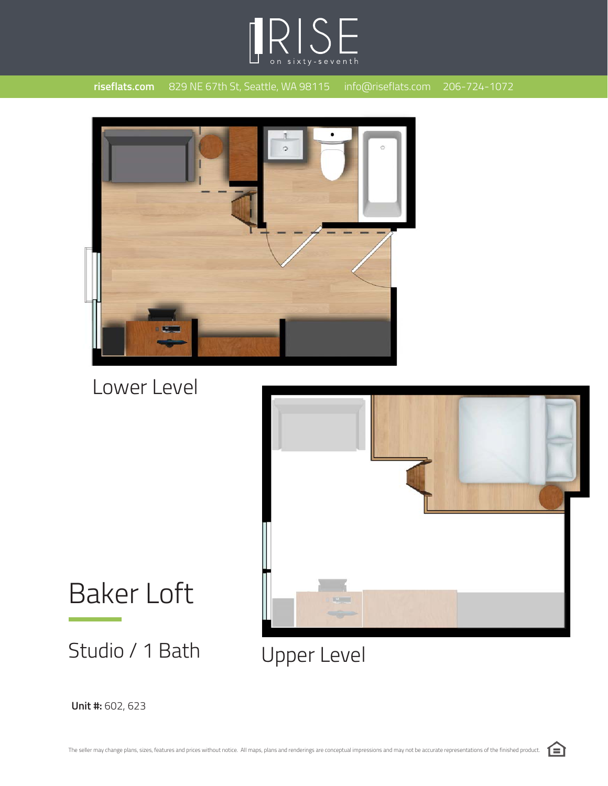



Lower Level



Baker Loft

Studio / 1 Bath



**Unit #:** 602, 623